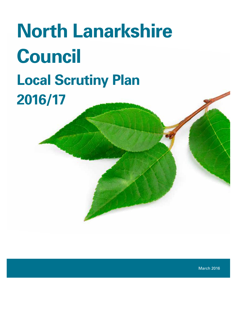# **North Lanarkshire Council Local Scrutiny Plan 2016/17**

March 2016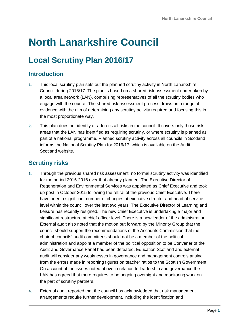## **North Lanarkshire Council**

### **Local Scrutiny Plan 2016/17**

#### **Introduction**

- **1.** This local scrutiny plan sets out the planned scrutiny activity in North Lanarkshire Council during 2016/17. The plan is based on a shared risk assessment undertaken by a local area network (LAN), comprising representatives of all the scrutiny bodies who engage with the council. The shared risk assessment process draws on a range of evidence with the aim of determining any scrutiny activity required and focusing this in the most proportionate way.
- **2.** This plan does not identify or address all risks in the council. It covers only those risk areas that the LAN has identified as requiring scrutiny, or where scrutiny is planned as part of a national programme. Planned scrutiny activity across all councils in Scotland informs the National Scrutiny Plan for 2016/17, which is available on the Audit Scotland website.

#### **Scrutiny risks**

- **3.** Through the previous shared risk assessment, no formal scrutiny activity was identified for the period 2015-2016 over that already planned. The Executive Director of Regeneration and Environmental Services was appointed as Chief Executive and took up post in October 2015 following the retiral of the previous Chief Executive. There have been a significant number of changes at executive director and head of service level within the council over the last two years. The Executive Director of Learning and Leisure has recently resigned. The new Chief Executive is undertaking a major and significant restructure at chief officer level. There is a new leader of the administration. External audit also noted that the motion put forward by the Minority Group that the council should support the recommendations of the Accounts Commission that the chair of councils' audit committees should not be a member of the political administration and appoint a member of the political opposition to be Convener of the Audit and Governance Panel had been defeated. Education Scotland and external audit will consider any weaknesses in governance and management controls arising from the errors made in reporting figures on teacher ratios to the Scottish Government. On account of the issues noted above in relation to leadership and governance the LAN has agreed that there requires to be ongoing oversight and monitoring work on the part of scrutiny partners.
- **4.** External audit reported that the council has acknowledged that risk management arrangements require further development, including the identification and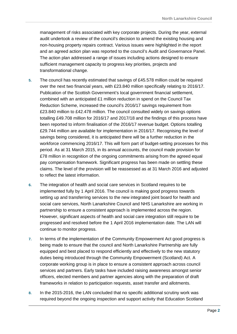management of risks associated with key corporate projects. During the year, external audit undertook a review of the council's decision to amend the existing housing and non-housing property repairs contract. Various issues were highlighted in the report and an agreed action plan was reported to the council's Audit and Governance Panel. The action plan addressed a range of issues including actions designed to ensure sufficient management capacity to progress key priorities, projects and transformational change.

- **5.** The council has recently estimated that savings of £45.578 million could be required over the next two financial years, with £23.840 million specifically relating to 2016/17. Publication of the Scottish Government's local government financial settlement, combined with an anticipated £1 million reduction in spend on the Council Tax Reduction Scheme, increased the council's 2016/17 savings requirement from £23.840 million to £42.478 million. The council consulted widely on savings options totalling £49.708 million for 2016/17 and 2017/18 and the findings of this process have been reported to inform finalisation of the 2016/17 revenue budget. Options totalling £29.744 million are available for implementation in 2016/17. Recognising the level of savings being considered, it is anticipated there will be a further reduction in the workforce commencing 2016/17. This will form part of budget-setting processes for this period. As at 31 March 2015, in its annual accounts, the council made provision for £78 million in recognition of the ongoing commitments arising from the agreed equal pay compensation framework. Significant progress has been made on settling these claims. The level of the provision will be reassessed as at 31 March 2016 and adjusted to reflect the latest information.
- **6.** The integration of health and social care services in Scotland requires to be implemented fully by 1 April 2016. The council is making good progress towards setting up and transferring services to the new integrated joint board for health and social care services, North Lanarkshire Council and NHS Lanarkshire are working in partnership to ensure a consistent approach is implemented across the region. However, significant aspects of health and social care integration still require to be progressed and resolved before the 1 April 2016 implementation date*.* The LAN will continue to monitor progress.
- **7.** In terms of the implementation of the Community Empowerment Act good progress is being made to ensure that the council and North Lanarkshire Partnership are fully equipped and best placed to respond efficiently and effectively to the new statutory duties being introduced through the Community Empowerment (Scotland) Act. A corporate working group is in place to ensure a consistent approach across council services and partners. Early tasks have included raising awareness amongst senior officers, elected members and partner agencies along with the preparation of draft frameworks in relation to participation requests, asset transfer and allotments.
- **8.** In the 2015-2016, the LAN concluded that no specific additional scrutiny work was required beyond the ongoing inspection and support activity that Education Scotland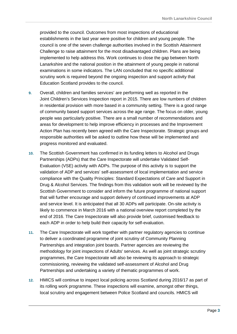provided to the council. Outcomes from most inspections of educational establishments in the last year were positive for children and young people. The council is one of the seven challenge authorities involved in the Scottish Attainment Challenge to raise attainment for the most disadvantaged children. Plans are being implemented to help address this. Work continues to close the gap between North Lanarkshire and the national position in the attainment of young people in national examinations in some indicators. The LAN concluded that no specific additional scrutiny work is required beyond the ongoing inspection and support activity that Education Scotland provides to the council.

- **9.** Overall, children and families services' are performing well as reported in the Joint Children's Services Inspection report in 2015. There are low numbers of children in residential provision with more based in a community setting. There is a good range of community based support services across the age range. The focus on older, young people was particularly positive. There are a small number of recommendations and areas for development to help improve efficiency in processes and the Improvement Action Plan has recently been agreed with the Care Inspectorate. Strategic groups and responsible authorities will be asked to outline how these will be implemented and progress monitored and evaluated.
- **10.** The Scottish Government has confirmed in its funding letters to Alcohol and Drugs Partnerships (ADPs) that the Care Inspectorate will undertake Validated Self-Evaluation (VSE) activity with ADPs. The purpose of this activity is to support the validation of ADP and services' self-assessment of local implementation and service compliance with the Quality Principles: Standard Expectations of Care and Support in Drug & Alcohol Services. The findings from this validation work will be reviewed by the Scottish Government to consider and inform the future programme of national support that will further encourage and support delivery of continued improvements at ADP and service level. It is anticipated that all 30 ADPs will participate. On-site activity is likely to commence in March 2016 with a national overview report completed by the end of 2016. The Care Inspectorate will also provide brief, customised feedback to each ADP in order to help build their capacity for self-evaluation.
- **11.** The Care Inspectorate will work together with partner regulatory agencies to continue to deliver a coordinated programme of joint scrutiny of Community Planning Partnerships and integration joint boards. Partner agencies are reviewing the methodology for joint inspections of Adults' services. As well as joint strategic scrutiny programmes, the Care Inspectorate will also be reviewing its approach to strategic commissioning, reviewing the validated self-assessment of Alcohol and Drug Partnerships and undertaking a variety of thematic programmes of work.
- **12.** HMICS will continue to inspect local policing across Scotland during 2016/17 as part of its rolling work programme. These inspections will examine, amongst other things, local scrutiny and engagement between Police Scotland and councils. HMICS will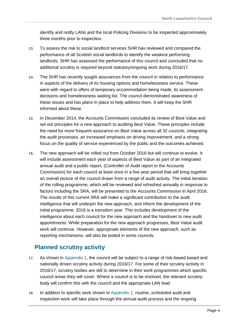identify and notify LANs and the local Policing Divisions to be inspected approximately three months prior to inspection.

- **13.** To assess the risk to social landlord services SHR has reviewed and compared the performance of all Scottish social landlords to identify the weakest performing landlords. SHR has assessed the performance of this council and concluded that no additional scrutiny is required beyond statutory/ongoing work during 2016/17.
- **14.** The SHR has recently sought assurances from the council in relation to performance in aspects of the delivery of its housing options and homelessness service. These were with regard to offers of temporary accommodation being made, its assessment decisions and homelessness waiting list. The council demonstrated awareness of these issues and has plans in place to help address them. It will keep the SHR informed about these.
- **15.** In December 2014, the Accounts Commission concluded its review of Best Value and set out principles for a new approach to auditing Best Value. These principles include the need for more frequent assurance on Best Value across all 32 councils, integrating the audit processes, an increased emphasis on driving improvement, and a strong focus on the quality of service experienced by the public and the outcomes achieved.
- **16.** The new approach will be rolled out from October 2016 but will continue to evolve. It will include assessment each year of aspects of Best Value as part of an integrated annual audit and a public report, (Controller of Audit report to the Accounts Commission) for each council at least once in a five year period that will bring together an overall picture of the council drawn from a range of audit activity. The initial iteration of the rolling programme, which will be reviewed and refreshed annually in response to factors including the SRA, will be presented to the Accounts Commission in April 2016. The results of this current SRA will make a significant contribution to the audit intelligence that will underpin the new approach, and inform the development of the initial programme. 2016 is a transition year. This includes development of the intelligence about each council for the new approach and the handover to new audit appointments. While preparation for the new approach progresses, Best Value audit work will continue. However, appropriate elements of the new approach, such as reporting mechanisms, will also be tested in some councils.

#### **Planned scrutiny activity**

- **17.** As shown in Appendix 1, the council will be subject to a range of risk-based based and nationally driven scrutiny activity during 2016/17. For some of their scrutiny activity in 2016/17, scrutiny bodies are still to determine in their work programmes which specific council areas they will cover. Where a council is to be involved, the relevant scrutiny body will confirm this with the council and the appropriate LAN lead.
- **18.** In addition to specific work shown in Appendix 1, routine, scheduled audit and inspection work will take place through the annual audit process and the ongoing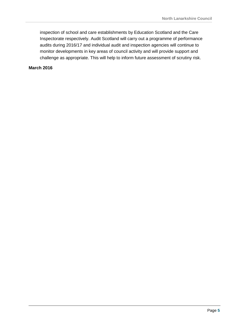inspection of school and care establishments by Education Scotland and the Care Inspectorate respectively. Audit Scotland will carry out a programme of performance audits during 2016/17 and individual audit and inspection agencies will continue to monitor developments in key areas of council activity and will provide support and challenge as appropriate. This will help to inform future assessment of scrutiny risk.

**March 2016**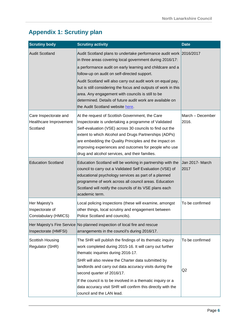#### **Appendix 1: Scrutiny plan**

| <b>Scrutiny body</b>                                        | <b>Scrutiny activity</b>                                                                                                                                                                                                                                                                                                                                                                          | <b>Date</b>               |
|-------------------------------------------------------------|---------------------------------------------------------------------------------------------------------------------------------------------------------------------------------------------------------------------------------------------------------------------------------------------------------------------------------------------------------------------------------------------------|---------------------------|
| <b>Audit Scotland</b>                                       | Audit Scotland plans to undertake performance audit work 2016/2017<br>in three areas covering local government during 2016/17:                                                                                                                                                                                                                                                                    |                           |
|                                                             | a performance audit on early learning and childcare and a<br>follow-up on audit on self-directed support.                                                                                                                                                                                                                                                                                         |                           |
|                                                             | Audit Scotland will also carry out audit work on equal pay,<br>but is still considering the focus and outputs of work in this<br>area. Any engagement with councils is still to be<br>determined. Details of future audit work are available on<br>the Audit Scotland website here.                                                                                                               |                           |
| Care Inspectorate and<br>Healthcare Improvement<br>Scotland | At the request of Scottish Government, the Care<br>Inspectorate is undertaking a programme of Validated<br>Self-evaluation (VSE) across 30 councils to find out the<br>extent to which Alcohol and Drugs Partnerships (ADPs)<br>are embedding the Quality Principles and the impact on<br>improving experiences and outcomes for people who use<br>drug and alcohol services, and their families. | March - December<br>2016. |
| <b>Education Scotland</b>                                   | Education Scotland will be working in partnership with the<br>council to carry out a Validated Self Evaluation (VSE) of<br>educational psychology services as part of a planned<br>programme of work across all council areas. Education<br>Scotland will notify the councils of its VSE plans each<br>academic term.                                                                             | Jan 2017- March<br>2017   |
| Her Majesty's<br>Inspectorate of<br>Constabulary (HMICS)    | Local policing inspections (these will examine, amongst<br>other things, local scrutiny and engagement between<br>Police Scotland and councils).                                                                                                                                                                                                                                                  | To be confirmed           |
| Inspectorate (HMFSI)                                        | Her Majesty's Fire Service No planned inspection of local fire and rescue<br>arrangements in the council's during 2016/17.                                                                                                                                                                                                                                                                        |                           |
| Scottish Housing<br>Regulator (SHR)                         | The SHR will publish the findings of its thematic inquiry<br>work completed during 2015-16. It will carry out further<br>thematic inquiries during 2016-17.                                                                                                                                                                                                                                       | To be confirmed           |
|                                                             | SHR will also review the Charter data submitted by<br>landlords and carry out data accuracy visits during the<br>second quarter of 2016/17.                                                                                                                                                                                                                                                       | Q <sub>2</sub>            |
|                                                             | If the council is to be involved in a thematic inquiry or a<br>data accuracy visit SHR will confirm this directly with the<br>council and the LAN lead.                                                                                                                                                                                                                                           |                           |